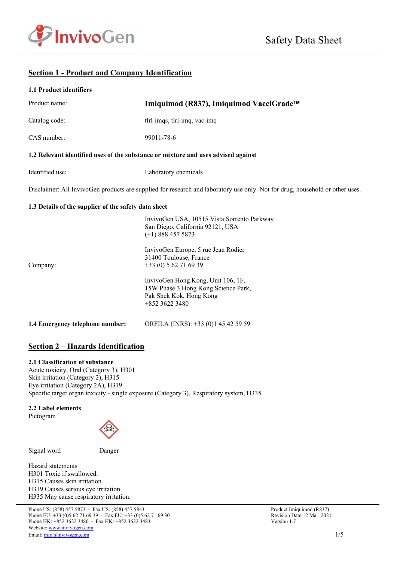

# **Section 1 - Product and Company Identification**

|  | 1.1 Product identifiers |
|--|-------------------------|
|  |                         |

| Product name:                                                                     | Imiquimod (R837), Imiquimod VacciGrade™                                                                                      |
|-----------------------------------------------------------------------------------|------------------------------------------------------------------------------------------------------------------------------|
| Catalog code:                                                                     | tlrl-imqs, tlrl-imq, vac-imq                                                                                                 |
| CAS number:                                                                       | 99011-78-6                                                                                                                   |
| 1.2 Relevant identified uses of the substance or mixture and uses advised against |                                                                                                                              |
| Identified use:                                                                   | Laboratory chemicals                                                                                                         |
|                                                                                   | Disclaimer: All InvivoGen products are supplied for research and laboratory use only. Not for drug, household or other uses. |
| 1.3 Details of the supplier of the safety data sheet                              |                                                                                                                              |
|                                                                                   | InvivoGen USA, 10515 Vista Sorrento Parkway<br>San Diego, California 92121, USA<br>$(+1)$ 888 457 5873                       |
| Company:                                                                          | InvivoGen Europe, 5 rue Jean Rodier<br>31400 Toulouse, France<br>$+33(0) 562716939$                                          |
|                                                                                   | InvivoGen Hong Kong, Unit 106, 1F,<br>15W Phase 3 Hong Kong Science Park,<br>Pak Shek Kok, Hong Kong<br>+852 3622 3480       |
| 1.4 Emergency telephone number:                                                   | ORFILA (INRS): +33 (0)1 45 42 59 59                                                                                          |

# **Section 2 – Hazards Identification**

#### **2.1 Classification of substance**

Acute toxicity, Oral (Category 3), H301 Skin irritation (Category 2), H315 Eye irritation (Category 2A), H319 Specific target organ toxicity - single exposure (Category 3), Respiratory system, H335

#### **2.2 Label elements**

Pictogram



Signal word Danger

Hazard statements H301 Toxic if swallowed. H315 Causes skin irritation. H319 Causes serious eye irritation. H335 May cause respiratory irritation.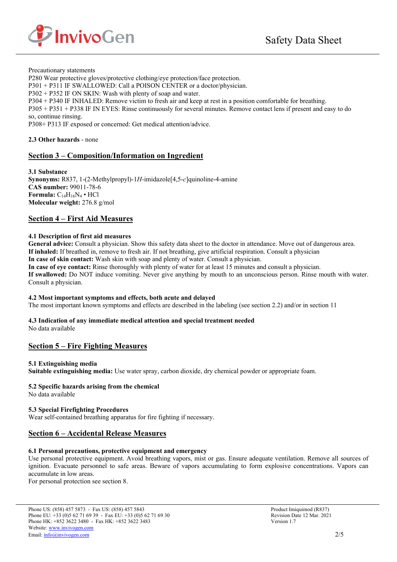

Precautionary statements

P280 Wear protective gloves/protective clothing/eye protection/face protection.

P301 + P311 IF SWALLOWED: Call a POISON CENTER or a doctor/physician.

P302 + P352 IF ON SKIN: Wash with plenty of soap and water.

P304 + P340 IF INHALED: Remove victim to fresh air and keep at rest in a position comfortable for breathing.

P305 + P351 + P338 IF IN EYES: Rinse continuously for several minutes. Remove contact lens if present and easy to do so, continue rinsing.

P308+ P313 IF exposed or concerned: Get medical attention/advice.

**2.3 Other hazards** - none

### **Section 3 – Composition/Information on Ingredient**

**3.1 Substance Synonyms:** R837, 1-(2-Methylpropyl)-1*H*-imidazole[4,5-*c*]quinoline-4-amine **CAS number:** 99011-78-6 **Formula:**  $C_{14}H_{16}N_4 \cdot HCl$ **Molecular weight:** 276.8 g/mol

### **Section 4 – First Aid Measures**

### **4.1 Description of first aid measures**

**General advice:** Consult a physician. Show this safety data sheet to the doctor in attendance. Move out of dangerous area. **If inhaled:** If breathed in, remove to fresh air. If not breathing, give artificial respiration. Consult a physician

**In case of skin contact:** Wash skin with soap and plenty of water. Consult a physician.

**In case of eye contact:** Rinse thoroughly with plenty of water for at least 15 minutes and consult a physician. **If swallowed:** Do NOT induce vomiting. Never give anything by mouth to an unconscious person. Rinse mouth with water. Consult a physician.

#### **4.2 Most important symptoms and effects, both acute and delayed**

The most important known symptoms and effects are described in the labeling (see section 2.2) and/or in section 11

# **4.3 Indication of any immediate medical attention and special treatment needed**

No data available

# **Section 5 – Fire Fighting Measures**

### **5.1 Extinguishing media**

**Suitable extinguishing media:** Use water spray, carbon dioxide, dry chemical powder or appropriate foam.

### **5.2 Specific hazards arising from the chemical**

No data available

# **5.3 Special Firefighting Procedures**

Wear self-contained breathing apparatus for fire fighting if necessary.

# **Section 6 – Accidental Release Measures**

### **6.1 Personal precautions, protective equipment and emergency**

Use personal protective equipment. Avoid breathing vapors, mist or gas. Ensure adequate ventilation. Remove all sources of ignition. Evacuate personnel to safe areas. Beware of vapors accumulating to form explosive concentrations. Vapors can accumulate in low areas.

For personal protection see section 8.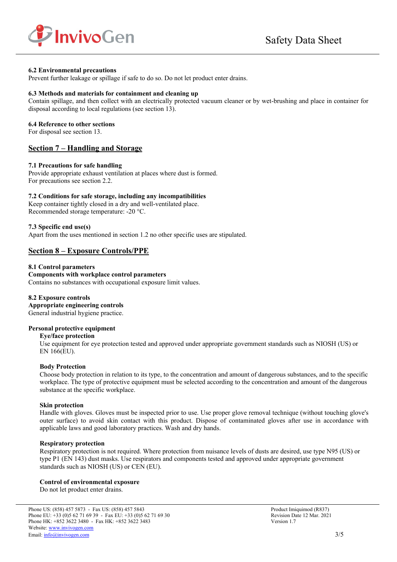

#### **6.2 Environmental precautions**

Prevent further leakage or spillage if safe to do so. Do not let product enter drains.

#### **6.3 Methods and materials for containment and cleaning up**

Contain spillage, and then collect with an electrically protected vacuum cleaner or by wet-brushing and place in container for disposal according to local regulations (see section 13).

#### **6.4 Reference to other sections**

For disposal see section 13.

### **Section 7 – Handling and Storage**

#### **7.1 Precautions for safe handling**

Provide appropriate exhaust ventilation at places where dust is formed. For precautions see section 2.2.

#### **7.2 Conditions for safe storage, including any incompatibilities**

Keep container tightly closed in a dry and well-ventilated place. Recommended storage temperature: -20 °C.

#### **7.3 Specific end use(s)**

Apart from the uses mentioned in section 1.2 no other specific uses are stipulated.

# **Section 8 – Exposure Controls/PPE**

#### **8.1 Control parameters**

#### **Components with workplace control parameters**  Contains no substances with occupational exposure limit values.

#### **8.2 Exposure controls Appropriate engineering controls**

General industrial hygiene practice.

#### **Personal protective equipment**

#### **Eye/face protection**

Use equipment for eye protection tested and approved under appropriate government standards such as NIOSH (US) or EN 166(EU).

#### **Body Protection**

Choose body protection in relation to its type, to the concentration and amount of dangerous substances, and to the specific workplace. The type of protective equipment must be selected according to the concentration and amount of the dangerous substance at the specific workplace.

#### **Skin protection**

Handle with gloves. Gloves must be inspected prior to use. Use proper glove removal technique (without touching glove's outer surface) to avoid skin contact with this product. Dispose of contaminated gloves after use in accordance with applicable laws and good laboratory practices. Wash and dry hands.

#### **Respiratory protection**

Respiratory protection is not required. Where protection from nuisance levels of dusts are desired, use type N95 (US) or type P1 (EN 143) dust masks. Use respirators and components tested and approved under appropriate government standards such as NIOSH (US) or CEN (EU).

#### **Control of environmental exposure**

Do not let product enter drains.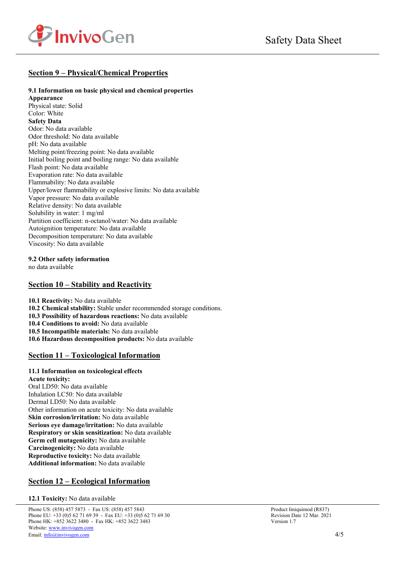

# **Section 9 – Physical/Chemical Properties**

### **9.1 Information on basic physical and chemical properties**

**Appearance**  Physical state: Solid Color: White **Safety Data**  Odor: No data available Odor threshold: No data available pH: No data available Melting point/freezing point: No data available Initial boiling point and boiling range: No data available Flash point: No data available Evaporation rate: No data available Flammability: No data available Upper/lower flammability or explosive limits: No data available Vapor pressure: No data available Relative density: No data available Solubility in water: 1 mg/ml Partition coefficient: n-octanol/water: No data available Autoignition temperature: No data available Decomposition temperature: No data available Viscosity: No data available

**9.2 Other safety information** 

no data available

### **Section 10 – Stability and Reactivity**

**10.1 Reactivity:** No data available

**10.2 Chemical stability:** Stable under recommended storage conditions.

**10.3 Possibility of hazardous reactions:** No data available

**10.4 Conditions to avoid:** No data available

**10.5 Incompatible materials:** No data available

**10.6 Hazardous decomposition products:** No data available

### **Section 11 – Toxicological Information**

### **11.1 Information on toxicological effects**

**Acute toxicity:** Oral LD50: No data available Inhalation LC50: No data available Dermal LD50: No data available Other information on acute toxicity: No data available **Skin corrosion/irritation:** No data available **Serious eye damage/irritation:** No data available **Respiratory or skin sensitization:** No data available **Germ cell mutagenicity:** No data available **Carcinogenicity:** No data available **Reproductive toxicity:** No data available **Additional information:** No data available

# **Section 12 – Ecological Information**

**12.1 Toxicity:** No data available